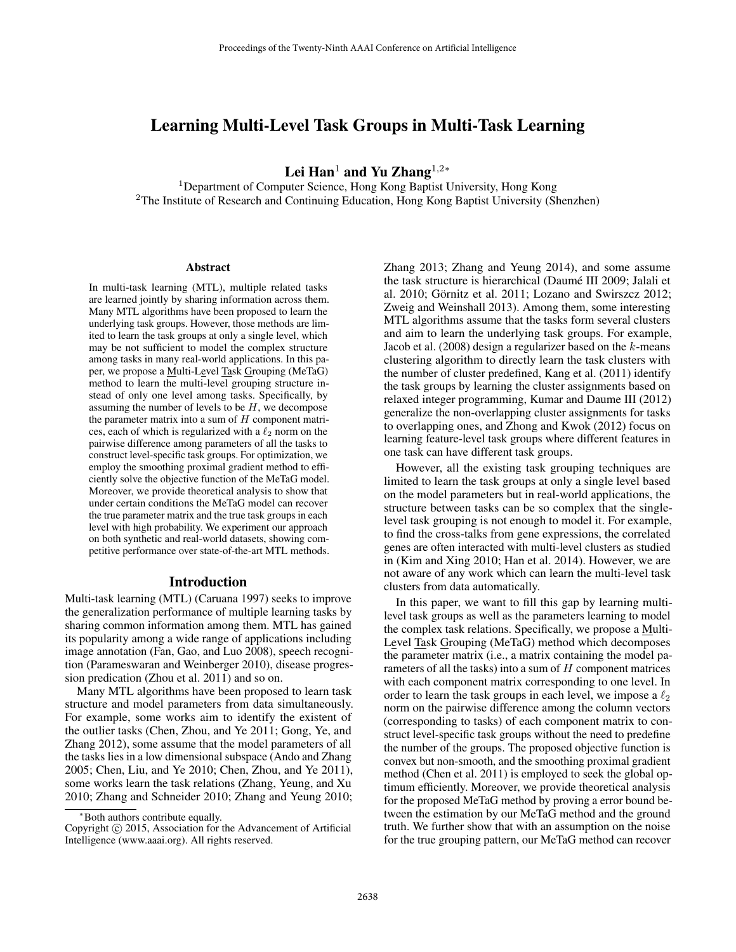# Learning Multi-Level Task Groups in Multi-Task Learning

Lei Han<sup>1</sup> and Yu Zhang<sup>1,2</sup>\*

<sup>1</sup>Department of Computer Science, Hong Kong Baptist University, Hong Kong <sup>2</sup>The Institute of Research and Continuing Education, Hong Kong Baptist University (Shenzhen)

#### **Abstract**

In multi-task learning (MTL), multiple related tasks are learned jointly by sharing information across them. Many MTL algorithms have been proposed to learn the underlying task groups. However, those methods are limited to learn the task groups at only a single level, which may be not sufficient to model the complex structure among tasks in many real-world applications. In this paper, we propose a Multi-Level Task Grouping (MeTaG) method to learn the multi-level grouping structure instead of only one level among tasks. Specifically, by assuming the number of levels to be  $H$ , we decompose the parameter matrix into a sum of  $H$  component matrices, each of which is regularized with a  $\ell_2$  norm on the pairwise difference among parameters of all the tasks to construct level-specific task groups. For optimization, we employ the smoothing proximal gradient method to efficiently solve the objective function of the MeTaG model. Moreover, we provide theoretical analysis to show that under certain conditions the MeTaG model can recover the true parameter matrix and the true task groups in each level with high probability. We experiment our approach on both synthetic and real-world datasets, showing competitive performance over state-of-the-art MTL methods.

### Introduction

Multi-task learning (MTL) (Caruana 1997) seeks to improve the generalization performance of multiple learning tasks by sharing common information among them. MTL has gained its popularity among a wide range of applications including image annotation (Fan, Gao, and Luo 2008), speech recognition (Parameswaran and Weinberger 2010), disease progression predication (Zhou et al. 2011) and so on.

Many MTL algorithms have been proposed to learn task structure and model parameters from data simultaneously. For example, some works aim to identify the existent of the outlier tasks (Chen, Zhou, and Ye 2011; Gong, Ye, and Zhang 2012), some assume that the model parameters of all the tasks lies in a low dimensional subspace (Ando and Zhang 2005; Chen, Liu, and Ye 2010; Chen, Zhou, and Ye 2011), some works learn the task relations (Zhang, Yeung, and Xu 2010; Zhang and Schneider 2010; Zhang and Yeung 2010; Zhang 2013; Zhang and Yeung 2014), and some assume the task structure is hierarchical (Daumé III 2009; Jalali et al. 2010; Görnitz et al. 2011; Lozano and Swirszcz 2012; Zweig and Weinshall 2013). Among them, some interesting MTL algorithms assume that the tasks form several clusters and aim to learn the underlying task groups. For example, Jacob et al.  $(2008)$  design a regularizer based on the  $k$ -means clustering algorithm to directly learn the task clusters with the number of cluster predefined, Kang et al. (2011) identify the task groups by learning the cluster assignments based on relaxed integer programming, Kumar and Daume III (2012) generalize the non-overlapping cluster assignments for tasks to overlapping ones, and Zhong and Kwok (2012) focus on learning feature-level task groups where different features in one task can have different task groups.

However, all the existing task grouping techniques are limited to learn the task groups at only a single level based on the model parameters but in real-world applications, the structure between tasks can be so complex that the singlelevel task grouping is not enough to model it. For example, to find the cross-talks from gene expressions, the correlated genes are often interacted with multi-level clusters as studied in (Kim and Xing 2010; Han et al. 2014). However, we are not aware of any work which can learn the multi-level task clusters from data automatically.

In this paper, we want to fill this gap by learning multilevel task groups as well as the parameters learning to model the complex task relations. Specifically, we propose a Multi-Level Task Grouping (MeTaG) method which decomposes the parameter matrix (i.e., a matrix containing the model parameters of all the tasks) into a sum of  $H$  component matrices with each component matrix corresponding to one level. In order to learn the task groups in each level, we impose a  $\ell_2$ norm on the pairwise difference among the column vectors (corresponding to tasks) of each component matrix to construct level-specific task groups without the need to predefine the number of the groups. The proposed objective function is convex but non-smooth, and the smoothing proximal gradient method (Chen et al. 2011) is employed to seek the global optimum efficiently. Moreover, we provide theoretical analysis for the proposed MeTaG method by proving a error bound between the estimation by our MeTaG method and the ground truth. We further show that with an assumption on the noise for the true grouping pattern, our MeTaG method can recover

<sup>∗</sup>Both authors contribute equally.

Copyright  $\odot$  2015, Association for the Advancement of Artificial Intelligence (www.aaai.org). All rights reserved.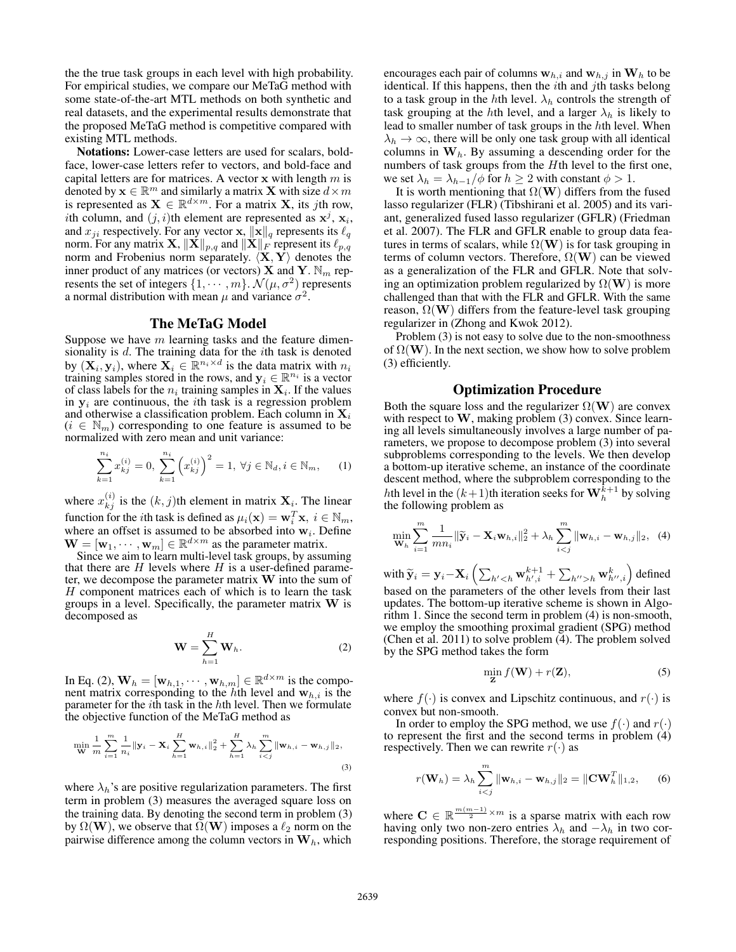the the true task groups in each level with high probability. For empirical studies, we compare our MeTaG method with some state-of-the-art MTL methods on both synthetic and real datasets, and the experimental results demonstrate that the proposed MeTaG method is competitive compared with existing MTL methods.

Notations: Lower-case letters are used for scalars, boldface, lower-case letters refer to vectors, and bold-face and capital letters are for matrices. A vector **x** with length m is denoted by  $\mathbf{x} \in \mathbb{R}^m$  and similarly a matrix **X** with size  $d \times m$ is represented as  $\mathbf{X} \in \mathbb{R}^{d \times m}$ . For a matrix **X**, its *j*th row, ith column, and  $(j, i)$ th element are represented as  $x^j$ ,  $x_i$ , and  $x_{ji}$  respectively. For any vector **x**,  $\|\mathbf{x}\|_q$  represents its  $\ell_q$ norm. For any matrix  $\mathbf{X}, \|\mathbf{X}\|_{p,q}$  and  $\|\mathbf{X}\|_F$  represent its  $\ell_{p,q}$ norm and Frobenius norm separately.  $\langle \mathbf{X}, \mathbf{Y} \rangle$  denotes the inner product of any matrices (or vectors) **X** and **Y**.  $\mathbb{N}_m$  represents the set of integers  $\{1, \cdots, m\}$ .  $\mathcal{N}(\mu, \sigma^2)$  represents a normal distribution with mean  $\mu$  and variance  $\sigma^2$ .

#### The MeTaG Model

Suppose we have  $m$  learning tasks and the feature dimensionality is  $d$ . The training data for the *i*th task is denoted by  $(\mathbf{X}_i, \mathbf{y}_i)$ , where  $\mathbf{X}_i \in \mathbb{R}^{n_i \times d}$  is the data matrix with  $n_i$ training samples stored in the rows, and  $y_i \in \mathbb{R}^{n_i}$  is a vector of class labels for the  $n_i$  training samples in  $\mathbf{X}_i$ . If the values in  $y_i$  are continuous, the *i*th task is a regression problem and otherwise a classification problem. Each column in  $X_i$  $(i \in \mathbb{N}_m)$  corresponding to one feature is assumed to be normalized with zero mean and unit variance:

$$
\sum_{k=1}^{n_i} x_{kj}^{(i)} = 0, \sum_{k=1}^{n_i} \left( x_{kj}^{(i)} \right)^2 = 1, \forall j \in \mathbb{N}_d, i \in \mathbb{N}_m, \quad (1)
$$

where  $x_{kj}^{(i)}$  is the  $(k, j)$ th element in matrix  $\mathbf{X}_i$ . The linear function for the *i*th task is defined as  $\mu_i(\mathbf{x}) = \mathbf{w}_i^T \mathbf{x}, i \in \mathbb{N}_m$ , where an offset is assumed to be absorbed into  $\mathbf{w}_i$ . Define where an offset is assumed to be absorbed into  $w_i$ . Define  $\mathbf{W} = [\mathbf{w}_1, \cdots, \mathbf{w}_m] \in \mathbb{R}^{d \times m}$  as the parameter matrix.

Since we aim to learn multi-level task groups, by assuming that there are  $H$  levels where  $H$  is a user-defined parameter, we decompose the parameter matrix **W** into the sum of H component matrices each of which is to learn the task groups in a level. Specifically, the parameter matrix **W** is decomposed as

$$
\mathbf{W} = \sum_{h=1}^{H} \mathbf{W}_h.
$$
 (2)

In Eq. (2),  $\mathbf{W}_h = [\mathbf{w}_{h,1}, \cdots, \mathbf{w}_{h,m}] \in \mathbb{R}^{d \times m}$  is the component matrix corresponding to the hth level and  $w_{h,i}$  is the parameter for the  $i$ th task in the  $h$ th level. Then we formulate the objective function of the MeTaG method as

$$
\min_{\mathbf{W}} \frac{1}{m} \sum_{i=1}^{m} \frac{1}{n_i} ||\mathbf{y}_i - \mathbf{X}_i \sum_{h=1}^{H} \mathbf{w}_{h,i}||_2^2 + \sum_{h=1}^{H} \lambda_h \sum_{i < j}^{m} ||\mathbf{w}_{h,i} - \mathbf{w}_{h,j}||_2, \tag{3}
$$

where  $\lambda_h$ 's are positive regularization parameters. The first term in problem (3) measures the averaged square loss on the training data. By denoting the second term in problem (3) by  $\Omega(W)$ , we observe that  $\Omega(W)$  imposes a  $\ell_2$  norm on the pairwise difference among the column vectors in  $W_k$ , which pairwise difference among the column vectors in  $W<sub>h</sub>$ , which

encourages each pair of columns  $w_{h,i}$  and  $w_{h,j}$  in  $W_h$  to be identical. If this happens, then the  $i$ th and  $j$ th tasks belong to a task group in the hth level.  $\lambda_h$  controls the strength of task grouping at the hth level, and a larger  $\lambda_h$  is likely to lead to smaller number of task groups in the hth level. When  $\lambda_h \to \infty$ , there will be only one task group with all identical columns in  $W_h$ . By assuming a descending order for the numbers of task groups from the Hth level to the first one, we set  $\lambda_h = \lambda_{h-1}/\phi$  for  $h \geq 2$  with constant  $\phi > 1$ .

It is worth mentioning that  $\Omega(W)$  differs from the fused lasso regularizer (FLR) (Tibshirani et al. 2005) and its variant, generalized fused lasso regularizer (GFLR) (Friedman et al. 2007). The FLR and GFLR enable to group data features in terms of scalars, while  $\Omega(\mathbf{W})$  is for task grouping in terms of column vectors. Therefore,  $\Omega(\mathbf{W})$  can be viewed as a generalization of the FLR and GFLR. Note that solving an optimization problem regularized by  $\Omega(\mathbf{W})$  is more challenged than that with the FLR and GFLR. With the same reason,  $\Omega(\mathbf{W})$  differs from the feature-level task grouping regularizer in (Zhong and Kwok 2012).

Problem (3) is not easy to solve due to the non-smoothness of  $\Omega(\mathbf{W})$ . In the next section, we show how to solve problem (3) efficiently.

### Optimization Procedure

Both the square loss and the regularizer  $\Omega(\mathbf{W})$  are convex with respect to **W**, making problem (3) convex. Since learning all levels simultaneously involves a large number of parameters, we propose to decompose problem (3) into several subproblems corresponding to the levels. We then develop a bottom-up iterative scheme, an instance of the coordinate descent method, where the subproblem corresponding to the hth level in the  $(k+1)$ th iteration seeks for  $\mathbf{W}_{h}^{k+1}$  by solving the following problem as the following problem as

$$
\min_{\mathbf{W}_h} \sum_{i=1}^m \frac{1}{mn_i} \|\widetilde{\mathbf{y}}_i - \mathbf{X}_i \mathbf{w}_{h,i}\|_2^2 + \lambda_h \sum_{i < j}^m \|\mathbf{w}_{h,i} - \mathbf{w}_{h,j}\|_2, \tag{4}
$$

with  $\widetilde{\mathbf{y}}_i = \mathbf{y}_i - \mathbf{X}_i \left( \sum_{h' < h} \mathbf{w}_{h',i}^{k+1} + \sum_{h''>h} \mathbf{w}_{h'',i}^k \right)$  defined based on the parameters of the other levels from their last updates. The bottom-up iterative scheme is shown in Algorithm 1. Since the second term in problem (4) is non-smooth, we employ the smoothing proximal gradient (SPG) method (Chen et al. 2011) to solve problem (4). The problem solved by the SPG method takes the form

$$
\min_{\mathbf{Z}} f(\mathbf{W}) + r(\mathbf{Z}),
$$
\n(5)

where  $f(\cdot)$  is convex and Lipschitz continuous, and  $r(\cdot)$  is convex but non-smooth.

In order to employ the SPG method, we use  $f(\cdot)$  and  $r(\cdot)$ to represent the first and the second terms in problem (4) respectively. Then we can rewrite  $r(\cdot)$  as

$$
r(\mathbf{W}_h) = \lambda_h \sum_{i < j}^m \|\mathbf{w}_{h,i} - \mathbf{w}_{h,j}\|_2 = \|\mathbf{C}\mathbf{W}_h^T\|_{1,2},\qquad(6)
$$

where  $C \in \mathbb{R}^{\frac{m(m-1)}{2} \times m}$  is a sparse matrix with each row having only two non-zero entries  $\lambda_h$  and  $-\lambda_h$  in two corresponding positions. Therefore, the storage requirement of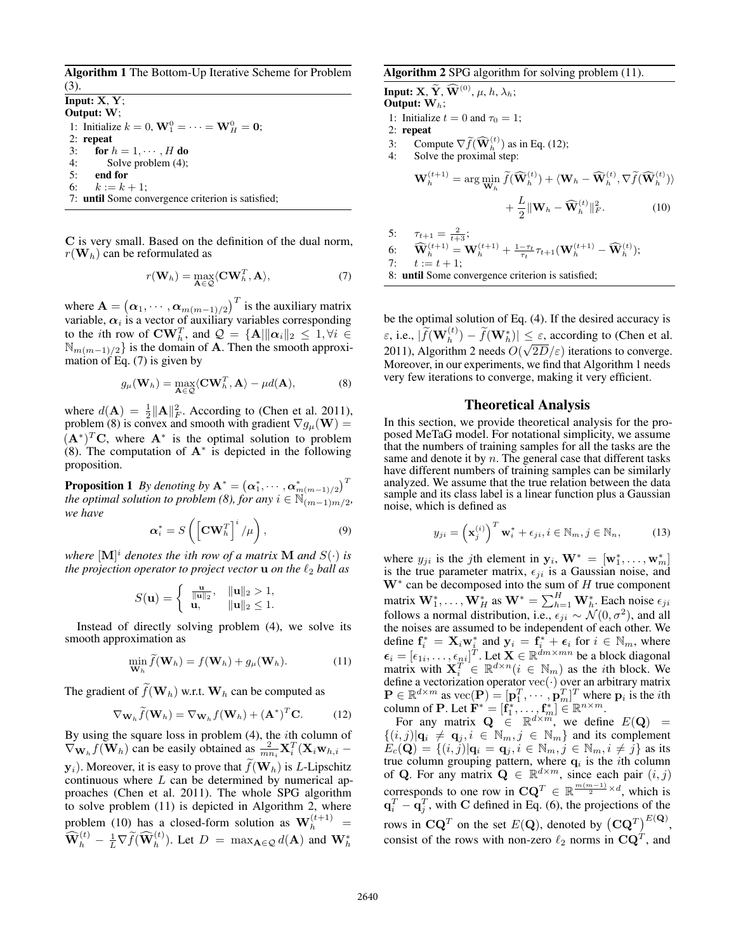Algorithm 1 The Bottom-Up Iterative Scheme for Problem (3).

Input: **X**, **Y**; Output: **W**; 1: Initialize  $k = 0$ ,  $\mathbf{W}_1^0 = \cdots = \mathbf{W}_H^0 = \mathbf{0}$ ;<br>2. **repeat** 2: repeat 3: for  $h = 1, \dots, H$  do<br>4: Solve problem (4); Solve problem (4); 5: end for 6:  $k := k + 1$ ;<br>7: **until** Some convergence criterion is satisfied;

**C** is very small. Based on the definition of the dual norm,  $r(\mathbf{W}_h)$  can be reformulated as

$$
r(\mathbf{W}_h) = \max_{\mathbf{A} \in \mathcal{Q}} \langle \mathbf{C} \mathbf{W}_h^T, \mathbf{A} \rangle, \tag{7}
$$

where  $\mathbf{A} = (\alpha_1, \dots, \alpha_{m(m-1)/2})^T$  is the auxiliary matrix variable  $\alpha_i$  is a vector of auxiliary variables corresponding variable,  $\alpha_i$  is a vector of auxiliary variables corresponding to the *i*th row of  $\mathbf{CW}_h^T$ , and  $\mathcal{Q} = {\mathbf{A}} || \mathbf{\alpha}_i ||_2 \leq 1, \forall i \in \mathbb{N}$ <br> $\mathbb{N} \left( \mathbf{\alpha}_i \right)$  is the domain of **A**. Then the smooth approxi- $\mathbb{N}_{m(m-1)/2}$  is the domain of **A**. Then the smooth approximation of Eq. (7) is given by

$$
g_{\mu}(\mathbf{W}_h) = \max_{\mathbf{A} \in \mathcal{Q}} \langle \mathbf{C} \mathbf{W}_h^T, \mathbf{A} \rangle - \mu d(\mathbf{A}), \tag{8}
$$

where  $d(\mathbf{A}) = \frac{1}{2} ||\mathbf{A}||_F^2$ . According to (Chen et al. 2011), problem (8) is convex and smooth with gradient  $\nabla a_v(\mathbf{W}) =$ problem (8) is convex and smooth with gradient  $\nabla g_\mu(\mathbf{W}) = (\mathbf{A}^*)^T \mathbf{C}$ , where  $\mathbf{A}^*$  is the optimal solution to problem  $(A^*)^T C$ , where  $A^*$  is the optimal solution to problem (8). The computation of **A**<sup>∗</sup> is depicted in the following proposition.

**Proposition 1** *By denoting by*  $\mathbf{A}^* = (\alpha_1^*, \cdots, \alpha_{m(m-1)/2}^*)^T$ <br>the optimal solution to problem  $(\beta)$ , for any  $i \in \mathbb{N}$ . *the optimal solution to problem (8), for any*  $i \in \mathbb{N}_{(m-1)m/2}$ *, we have*

$$
\boldsymbol{\alpha}_i^* = S\left(\left[\mathbf{C}\mathbf{W}_h^T\right]^i / \mu\right),\tag{9}
$$

*where*  $[M]^i$  *denotes the ith row of a matrix* **M** *and*  $S(\cdot)$  *is the projection operator to project vector* **u** *on the*  $\ell_2$  *ball as the projection operator to project vector*  $\bf u$  *on the*  $\ell_2$  *ball as* 

$$
S(\mathbf{u}) = \begin{cases} \frac{\mathbf{u}}{\|\mathbf{u}\|_2}, & \|\mathbf{u}\|_2 > 1, \\ \mathbf{u}, & \|\mathbf{u}\|_2 \le 1. \end{cases}
$$

Instead of directly solving problem (4), we solve its smooth approximation as

$$
\min_{\mathbf{W}_h} \widetilde{f}(\mathbf{W}_h) = f(\mathbf{W}_h) + g_\mu(\mathbf{W}_h).
$$
 (11)

The gradient of  $f(\mathbf{W}_h)$  w.r.t.  $\mathbf{W}_h$  can be computed as

$$
\nabla_{\mathbf{W}_h} \widetilde{f}(\mathbf{W}_h) = \nabla_{\mathbf{W}_h} f(\mathbf{W}_h) + (\mathbf{A}^*)^T \mathbf{C}.
$$
 (12)

By using the square loss in problem  $(4)$ , the *i*th column of  $\nabla_{\mathbf{W}_h} f(\mathbf{W}_h)$  can be easily obtained as  $\frac{2}{m n_i} \mathbf{X}_i^T(\mathbf{X}_i \mathbf{w}_{h,i})$  $\mathbf{y}_i$ ). Moreover, it is easy to prove that  $f(\mathbf{W}_h)$  is *L*-Lipschitz continuous where *L* can be determined by numerical ancontinuous where  $L$  can be determined by numerical approaches (Chen et al. 2011). The whole SPG algorithm to solve problem (11) is depicted in Algorithm 2, where problem (10) has a closed-form solution as  $W_h^{(t+1)}$  = problem (10) has a closed-form solution as  $\mathbf{W}_h^+$  =  $\overline{\mathbf{W}}_h^{(t)} - \frac{1}{L} \nabla \tilde{f}(\widehat{\mathbf{W}}_h^{(t)})$ . Let  $D = \max_{\mathbf{A} \in \mathcal{Q}} d(\mathbf{A})$  and  $\mathbf{W}_h^*$ 

#### Algorithm 2 SPG algorithm for solving problem (11).

**Input: X**,  $\widetilde{\mathbf{Y}}$ ,  $\widehat{\mathbf{W}}^{(0)}$ ,  $\mu$ ,  $h$ ,  $\lambda_h$ ; Output: **W**h; 1: Initialize  $t = 0$  and  $\tau_0 = 1$ ;

2: repeat

3: Compute  $\nabla \widetilde{f}(\widehat{\mathbf{W}}_h^{(t)})$  as in Eq. (12);<br>4. Solve the proximal step:

4: Solve the proximal step:

$$
\mathbf{W}_{h}^{(t+1)} = \arg \min_{\mathbf{W}_{h}} \widetilde{f}(\widehat{\mathbf{W}}_{h}^{(t)}) + \langle \mathbf{W}_{h} - \widehat{\mathbf{W}}_{h}^{(t)}, \nabla \widetilde{f}(\widehat{\mathbf{W}}_{h}^{(t)}) \rangle + \frac{L}{2} \|\mathbf{W}_{h} - \widehat{\mathbf{W}}_{h}^{(t)}\|_{F}^{2}.
$$
 (10)

5: 
$$
\tau_{t+1} = \frac{2}{t+3}
$$
;  
\n6:  $\widehat{\mathbf{W}}_h^{(t+1)} = \mathbf{W}_h^{(t+1)} + \frac{1-\tau_t}{\tau_t} \tau_{t+1} (\mathbf{W}_h^{(t+1)} - \widehat{\mathbf{W}}_h^{(t)});$   
\n7:  $t := t + 1;$   
\n8: **until** Some convergence criterion is satisfied;

be the optimal solution of Eq. (4). If the desired accuracy is  $\varepsilon$ , i.e.,  $|\widetilde{f}(\mathbf{W}_h^{(t)}) - \widetilde{f}(\mathbf{W}_h^*)| \le \varepsilon$ , according to (Chen et al.<br>2011). Algorithm 2 needs *O*( $\sqrt{2D}$  (c) iterations to converge 2011), Algorithm 2 needs  $O(\sqrt{2D}/\varepsilon)$  iterations to converge.<br>Moreover in our experiments we find that Algorithm 1 needs Moreover, in our experiments, we find that Algorithm 1 needs very few iterations to converge, making it very efficient.

#### Theoretical Analysis

In this section, we provide theoretical analysis for the proposed MeTaG model. For notational simplicity, we assume that the numbers of training samples for all the tasks are the same and denote it by  $n$ . The general case that different tasks have different numbers of training samples can be similarly analyzed. We assume that the true relation between the data sample and its class label is a linear function plus a Gaussian noise, which is defined as

$$
y_{ji} = \left(\mathbf{x}_j^{(i)}\right)^T \mathbf{w}_i^* + \epsilon_{ji}, i \in \mathbb{N}_m, j \in \mathbb{N}_n,
$$
 (13)

where  $y_{ji}$  is the *j*th element in  $y_i$ ,  $W^* = [\mathbf{w}_1^*, \dots, \mathbf{w}_n^*]$ <br>is the true parameter matrix  $\epsilon_{ii}$  is a Gaussian poise and where  $y_{ji}$  is the jth element in  $y_i$ ,  $\mathbf{W}^* = [\mathbf{w}_1^*, \dots, \mathbf{w}_m^*]$  is the true parameter matrix,  $\epsilon_{ji}$  is a Gaussian noise, and **W**<sup>∗</sup> can be decomposed into the sum of H true component matrix  $\mathbf{W}_{1}^{*}, \ldots, \mathbf{W}_{H}^{*}$  as  $\mathbf{W}^{*} = \sum_{h=1}^{H} \mathbf{W}_{h}^{*}$ . Each noise  $\epsilon_{ji}$  follows a normal distribution i.e.  $\epsilon_{ii} \propto \sqrt{N}(\theta, \sigma^{2})$  and all follows a normal distribution, i.e.,  $\epsilon_{ji} \sim \mathcal{N}(0, \sigma^2)$ , and all the noises are assumed to be independent of each other. We the noises are assumed to be independent of each other. We define  $\mathbf{f}_i^* = \mathbf{X}_i \mathbf{w}_i^*$  and  $\mathbf{y}_i = \mathbf{f}_i^* + \boldsymbol{\epsilon}_i$  for  $i \in \mathbb{N}_m$ , where  $\epsilon_i = [\epsilon_{1i}, \dots, \epsilon_{ni}]^T$ . Let  $\mathbf{X} \in \mathbb{R}^{dm \times mn}$  be a block diagonal matrix with  $\mathbf{X}^T \in \mathbb{R}^{d \times n}$  ( $i \in \mathbb{N}_m$ ) as the *i*th block We matrix with  $\mathbf{X}_i^{T^*} \in \mathbb{R}^{d \times n} (i \in \mathbb{N}_m)$  as the *i*th block. We define a vectorization operator vec(.) over an arbitrary matrix define a vectorization operator vec(·) over an arbitrary matrix<br> **P** ∈  $\mathbb{R}^{d \times m}$  as vec(**P**) =  $[\mathbf{p}_1^T, \cdots, \mathbf{p}_m^T]^T$  where  $\mathbf{p}_i$  is the *i*th column of **P** Let  $\mathbf{F}^* = [\mathbf{f}^*, \qquad \mathbf{f}^*] \in \mathbb{R}^{n \times m}$ column of **P**. Let  $\mathbf{F}^* = [\mathbf{f}_1^*, \dots, \mathbf{f}_m^*] \in \mathbb{R}^{n \times m}$ .<br>For any matrix  $\mathbf{O} \in \mathbb{R}^{d \times m}$  we define

For any matrix  $\mathbf{Q} \in \mathbb{R}^{d \times m}$ , we define  $E(\mathbf{Q}) =$ <br>i j) $|\mathbf{q}| \neq \mathbf{q}$  i  $i \in \mathbb{N}$ ,  $j \in \mathbb{N}$ , and its complement  $\{(i,j)|\mathbf{q}_i \neq \mathbf{q}_j, i \in \mathbb{N}_m, j \in \mathbb{N}_m\}$  and its complement  $E(\mathbf{Q}) = \{(i,j)|\mathbf{q}_i = \mathbf{q}_j, j \in \mathbb{N}_m, j \in \mathbb{N}_m, j \neq j\}$  as its  $E_c(\mathbf{Q}) = \{ (i, j) | \mathbf{q}_i = \mathbf{q}_j, i \in \mathbb{N}_m, j \in \mathbb{N}_m, i \neq j \}$  as its the column grouping pattern where  $\mathbf{q}_i$  is the *i*th column true column grouping pattern, where  $q_i$  is the *i*th column of **Q**. For any matrix  $\mathbf{Q} \in \mathbb{R}^{d \times m}$ , since each pair  $(i, j)$ corresponds to one row in  $\mathbf{CQ}^T \in \mathbb{R}^{\frac{m(m-1)}{2} \times d}$ , which is  $\mathbf{q}_i^T - \mathbf{q}_i^T$ , with **C** defined in Eq. (6), the projections of the rows in  $\mathbf{CQ}^T$  on the set  $E(\mathbf{Q})$ , denoted by  $(\mathbf{CQ}^T)^{E(\mathbf{Q})}$ , consist of the rows with non-zero  $\ell_2$  norms in  $\mathbf{CQ}^T$ , and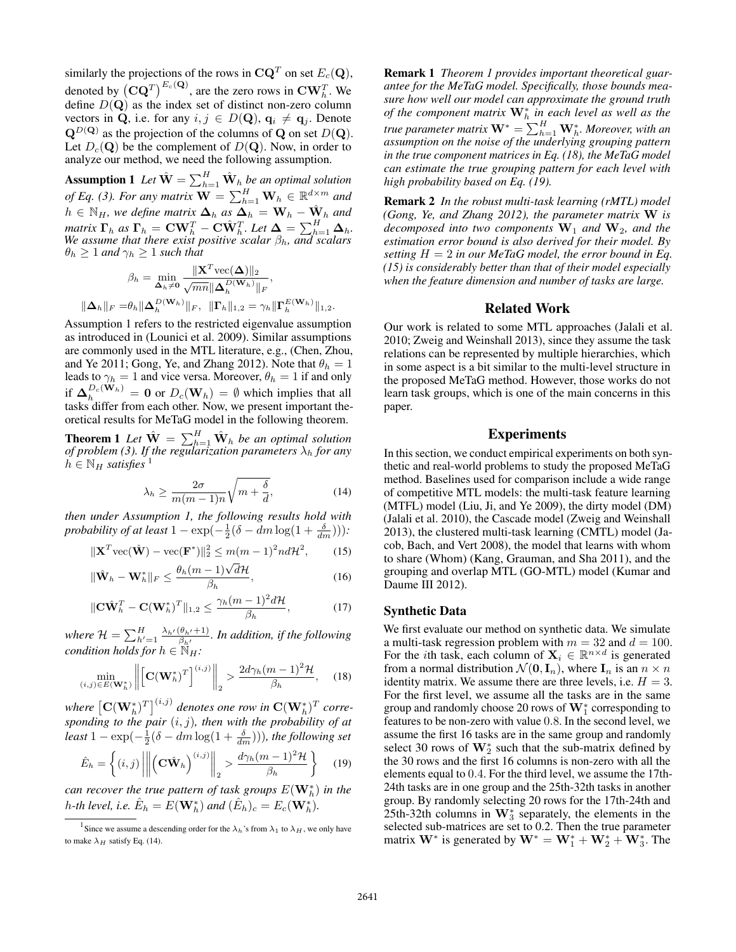similarly the projections of the rows in  $\mathbf{CQ}^T$  on set  $E_c(\mathbf{Q})$ , denoted by  $({\bf C} {\bf Q}^T)^{E_c({\bf Q})}$ , are the zero rows in  ${\bf C} {\bf W}_h^T$ . We define  $D(Q)$  as the index set of distinct non-zero column vectors in **Q**, i.e. for any  $i, j \in D(\mathbf{Q})$ ,  $\mathbf{q}_i \neq \mathbf{q}_j$ . Denote  $\mathbf{Q}^{D(\mathbf{Q})}$  as the projection of the columns of **Q** on set  $D(\mathbf{Q})$ . Let  $D_c(Q)$  be the complement of  $D(Q)$ . Now, in order to analyze our method, we need the following assumption.

**Assumption 1** Let  $\hat{\mathbf{W}} = \sum_{h=1}^{H} \hat{\mathbf{W}}_h$  be an optimal solution *of Eq. (3). For any matrix*  $\mathbf{W} = \sum_{h=1}^{H} \mathbf{W}_h \in \mathbb{R}^{d \times m}$  and  $h \in \mathbb{N}$  and  $h \in \mathbb{N}$  and define matrix  $\mathbf{A} = \mathbf{X} \mathbf{A}$  $h \in \mathbb{N}_H$ , we define matrix  $\mathbf{\Delta}_h$  as  $\mathbf{\Delta}_h = \mathbf{W}_h - \hat{\mathbf{W}}_h$  and  $\mathbf{F}_h$  as  $\mathbf{\Gamma}_h = \mathbf{C}\mathbf{W}^T$   $\mathbf{C}\hat{\mathbf{W}}^T$   $I$  at  $\mathbf{\Delta} = \sum^H \mathbf{\Delta}_h$ *matrix*  $\Gamma_h$  *as*  $\Gamma_h = \text{CW}_h^T - \text{CW}_h^T$ . Let  $\Delta = \sum_{h=1}^H \Delta_h$ .<br>We assume that there exist positive scalar  $\beta_h$ , and scalars  $\theta_h \geq 1$  *and*  $\gamma_h \geq 1$  *such that* 

$$
\beta_h = \min_{\mathbf{\Delta}_h \neq \mathbf{0}} \frac{\|\mathbf{X}^T \text{vec}(\mathbf{\Delta})\|_2}{\sqrt{mn} \|\mathbf{\Delta}_h^{D(\mathbf{W}_h)}\|_F},
$$

$$
\|\mathbf{\Delta}_h\|_F = \theta_h \|\mathbf{\Delta}_h^{D(\mathbf{W}_h)}\|_F, \ \|\mathbf{\Gamma}_h\|_{1,2} = \gamma_h \|\mathbf{\Gamma}_h^{E(\mathbf{W}_h)}\|_{1,2}.
$$

Assumption 1 refers to the restricted eigenvalue assumption as introduced in (Lounici et al. 2009). Similar assumptions are commonly used in the MTL literature, e.g., (Chen, Zhou, and Ye 2011; Gong, Ye, and Zhang 2012). Note that  $\theta_h = 1$ leads to  $\gamma_h = 1$  and vice versa. Moreover,  $\theta_h = 1$  if and only if  $\Delta_h^{D_c(\mathbf{W}_h)} = \mathbf{0}$  or  $D_c(\mathbf{W}_h) = \emptyset$  which implies that all tasks differ from each other Now we present important the tasks differ from each other. Now, we present important theoretical results for MeTaG model in the following theorem.

**Theorem 1** Let  $\hat{W} = \sum_{h=1}^{H} \hat{W}_h$  be an optimal solution of problem (3). If the regularization parameters  $\lambda_h$  for any  $h \in \mathbb{N}_H$  *satisfies*<sup>1</sup>

$$
\lambda_h \ge \frac{2\sigma}{m(m-1)n} \sqrt{m + \frac{\delta}{d}},\tag{14}
$$

 $m \leq m(m-1)n \sqrt{m+1}$  d'<br>then under Assumption 1, the following results hold with *probability of at least*  $1 - \exp(-\frac{1}{2}(\delta - dm \log(1 + \frac{\delta}{dm})))$ *:* 

$$
\|\mathbf{X}^T \text{vec}(\hat{\mathbf{W}}) - \text{vec}(\mathbf{F}^*)\|_2^2 \le m(m-1)^2 nd\mathcal{H}^2,\qquad(15)
$$

$$
\|\hat{\mathbf{W}}_h - \mathbf{W}_h^*\|_F \le \frac{\theta_h(m-1)\sqrt{d}\mathcal{H}}{\beta_h},\tag{16}
$$

$$
\|\mathbf{C}\hat{\mathbf{W}}_h^T - \mathbf{C}(\mathbf{W}_h^*)^T\|_{1,2} \le \frac{\gamma_h (m-1)^2 d\mathcal{H}}{\beta_h},
$$
 (17)

*where*  $\mathcal{H} = \sum_{h'=1}^{H} \frac{\lambda_{h'}(\theta_{h'}+1)}{\beta_{h'}}$ *. In addition, if the following condition holds for*  $h \in \mathbb{N}_H$ :

$$
\min_{(i,j)\in E(\mathbf{W}_h^*)}\left\| \left[\mathbf{C}(\mathbf{W}_h^*)^T\right]^{(i,j)}\right\|_2 > \frac{2d\gamma_h(m-1)^2\mathcal{H}}{\beta_h},\quad(18)
$$

*where*  $\left[\mathbf{C}(\mathbf{W}_h^*)^T\right]^{(i,j)}$  *denotes one row in*  $\mathbf{C}(\mathbf{W}_h^*)^T$  *corre-*<br>sponding to the pair  $(i, j)$  then with the probability of at *sponding to the pair*  $(i, j)$ *, then with the probability of at*<br>*least*  $1 - \exp(-\frac{1}{2}(\delta - dm)\cos(1 + \frac{\delta}{2})))$  *the following set least*  $1 - \exp(-\frac{1}{2}(\delta - dm \log(1 + \frac{\delta}{dm}))),$  *the following set* 

$$
\hat{E}_h = \left\{ (i,j) \left\| \left( \mathbf{C} \hat{\mathbf{W}}_h \right)^{(i,j)} \right\|_2 > \frac{d\gamma_h (m-1)^2 \mathcal{H}}{\beta_h} \right\} \tag{19}
$$

*can recover the true pattern of task groups*  $E(\mathbf{W}_h^*)$  *in the*<br>h th langle i.e.  $\hat{E} = E(\mathbf{W}_h^*)$  and  $(\hat{E}) = E(\mathbf{W}_h^*)$  $h$ -th level, i.e.  $\hat{E}_h = E(\mathbf{W}_h^*)$  and  $(\hat{E}_h)_c = E_c(\mathbf{W}_h^*).$ 

Remark 1 *Theorem 1 provides important theoretical guarantee for the MeTaG model. Specifically, those bounds measure how well our model can approximate the ground truth of the component matrix*  $W<sup>∗</sup><sub>h</sub>$  *in each level as well as the true parameter matrix*  $\mathbf{W}^* = \sum_{h=1}^n \mathbf{W}_h^*$ *. Moreover, with an assumption on the noise of the underlying grouping pattern assumption on the noise of the underlying grouping pattern in the true component matrices in Eq. (18), the MeTaG model can estimate the true grouping pattern for each level with high probability based on Eq. (19).*

Remark 2 *In the robust multi-task learning (rMTL) model (Gong, Ye, and Zhang 2012), the parameter matrix* **W** *is decomposed into two components* **W**<sup>1</sup> *and* **W**2*, and the estimation error bound is also derived for their model. By setting* <sup>H</sup> = 2 *in our MeTaG model, the error bound in Eq. (15) is considerably better than that of their model especially when the feature dimension and number of tasks are large.*

#### Related Work

Our work is related to some MTL approaches (Jalali et al. 2010; Zweig and Weinshall 2013), since they assume the task relations can be represented by multiple hierarchies, which in some aspect is a bit similar to the multi-level structure in the proposed MeTaG method. However, those works do not learn task groups, which is one of the main concerns in this paper.

### Experiments

In this section, we conduct empirical experiments on both synthetic and real-world problems to study the proposed MeTaG method. Baselines used for comparison include a wide range of competitive MTL models: the multi-task feature learning (MTFL) model (Liu, Ji, and Ye 2009), the dirty model (DM) (Jalali et al. 2010), the Cascade model (Zweig and Weinshall 2013), the clustered multi-task learning (CMTL) model (Jacob, Bach, and Vert 2008), the model that learns with whom to share (Whom) (Kang, Grauman, and Sha 2011), and the grouping and overlap MTL (GO-MTL) model (Kumar and Daume III 2012).

#### Synthetic Data

We first evaluate our method on synthetic data. We simulate a multi-task regression problem with  $m = 32$  and  $d = 100$ . For the *i*th task, each column of  $X_i \in \mathbb{R}^{n \times d}$  is generated from a normal distribution  $\mathcal{N}(\mathbf{0}, \mathbf{I}_n)$ , where  $\mathbf{I}_n$  is an  $n \times n$ identity matrix. We assume there are three levels, i.e.  $H = 3$ . For the first level, we assume all the tasks are in the same group and randomly choose 20 rows of **W**<sup>∗</sup> <sup>1</sup> corresponding to features to be non-zero with value <sup>0</sup>.8. In the second level, we assume the first 16 tasks are in the same group and randomly select 30 rows of  $\mathbf{W}_{2}^{*}$  such that the sub-matrix defined by the 30 rows and the first 16 columns is non-zero with all the elements equal to 0.4. For the third level, we assume the 17th-24th tasks are in one group and the 25th-32th tasks in another group. By randomly selecting 20 rows for the 17th-24th and 25th-32th columns in **W**<sup>∗</sup> <sup>3</sup> separately, the elements in the selected sub-matrices are set to 0.2. Then the true parameter matrix  $\mathbf{W}^*$  is generated by  $\mathbf{W}^* = \mathbf{W}_1^* + \mathbf{W}_2^* + \mathbf{W}_3^*$ . The

<sup>&</sup>lt;sup>1</sup> Since we assume a descending order for the  $\lambda_h$ 's from  $\lambda_1$  to  $\lambda_H$ , we only have to make  $\lambda_H$  satisfy Eq. (14).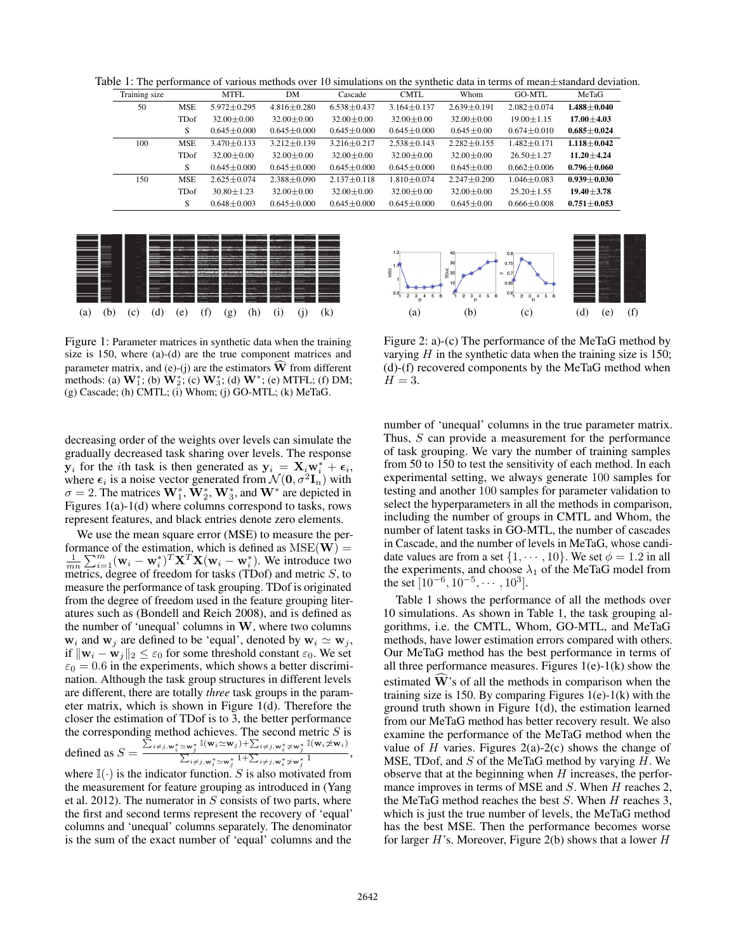Table 1: The performance of various methods over 10 simulations on the synthetic data in terms of mean $\pm$ standard deviation.

| Training size |            | MTFL              | DM                | Cascade           | <b>CMTL</b>       | Whom              | GO-MTL            | MeTaG             |
|---------------|------------|-------------------|-------------------|-------------------|-------------------|-------------------|-------------------|-------------------|
| 50            | <b>MSE</b> | $5.972 \pm 0.295$ | $4.816 \pm 0.280$ | $6.538 \pm 0.437$ | $3.164 \pm 0.137$ | $2.639 \pm 0.191$ | $2.082 \pm 0.074$ | $1.488 \pm 0.040$ |
|               | TDof       | $32.00 \pm 0.00$  | $32.00 \pm 0.00$  | $32.00 \pm 0.00$  | $32.00 \pm 0.00$  | $32.00 \pm 0.00$  | $19.00 \pm 1.15$  | $17.00 \pm 4.03$  |
|               | S          | $0.645 \pm 0.000$ | $0.645 \pm 0.000$ | $0.645 \pm 0.000$ | $0.645 \pm 0.000$ | $0.645 \pm 0.00$  | $0.674 \pm 0.010$ | $0.685 \pm 0.024$ |
| 100           | <b>MSE</b> | $3.470 \pm 0.133$ | $3.212 + 0.139$   | $3.216 \pm 0.217$ | $2.538 + 0.143$   | $2.282 \pm 0.155$ | $1.482 + 0.171$   | $1.118 + 0.042$   |
|               | TDof       | $32.00 \pm 0.00$  | $32.00 \pm 0.00$  | $32.00 \pm 0.00$  | $32.00 \pm 0.00$  | $32.00 \pm 0.00$  | $26.50 \pm 1.27$  | $11.20 \pm 4.24$  |
|               | S          | $0.645 \pm 0.000$ | $0.645 \pm 0.000$ | $0.645 \pm 0.000$ | $0.645 \pm 0.000$ | $0.645 \pm 0.00$  | $0.662 \pm 0.006$ | $0.796 \pm 0.060$ |
| 150           | <b>MSE</b> | $2.625 + 0.074$   | $2.388 \pm 0.090$ | $2.137 \pm 0.118$ | $1.810 \pm 0.074$ | $2.247 \pm 0.200$ | $1.046 \pm 0.083$ | $0.939 + 0.030$   |
|               | TDof       | $30.80 \pm 1.23$  | $32.00 + 0.00$    | $32.00 + 0.00$    | $32.00 + 0.00$    | $32.00 \pm 0.00$  | $25.20 \pm 1.55$  | $19.40 \pm 3.78$  |
|               | S          | $0.648 \pm 0.003$ | $0.645 \pm 0.000$ | $0.645 \pm 0.000$ | $0.645 \pm 0.000$ | $0.645 \pm 0.00$  | $0.666 \pm 0.008$ | $0.751 \pm 0.053$ |



Figure 1: Parameter matrices in synthetic data when the training size is 150, where (a)-(d) are the true component matrices and parameter matrix, and  $(e)$ - $(i)$  are the estimators  $\hat{W}$  from different methods: (a)  $\mathbf{W}_{1}^{*}$ ; (b)  $\mathbf{W}_{2}^{*}$ ; (c)  $\mathbf{W}_{3}^{*}$ ; (d)  $\mathbf{W}^{*}$ ; (e) MTFL; (f) DM; (g) Cascade; (h) CMTL; (i) Whom; (j) GO-MTL; (k) MeTaG.

decreasing order of the weights over levels can simulate the gradually decreased task sharing over levels. The response **y**<sub>i</sub> for the *i*th task is then generated as  $\mathbf{y}_i = \mathbf{X}_i \mathbf{w}_i^* + \epsilon_i$ , where  $\epsilon_i$  is a noise vector generated from  $\mathcal{N}(\mathbf{0}, \sigma^2 \mathbf{I}_i)$  with where  $\epsilon_i$  is a noise vector generated from  $\mathcal{N}(\mathbf{0}, \sigma^2 \mathbf{I}_n)$  with  $\sigma = 2$ . The matrices  $W_1^*, W_2^*, W_3^*$ , and  $W^*$  are depicted in Figures 1(a)-1(d) where columns correspond to tasks rows Figures 1(a)-1(d) where columns correspond to tasks, rows represent features, and black entries denote zero elements.

We use the mean square error (MSE) to measure the performance of the estimation, which is defined as MSE(**W**) =  $\frac{1}{mn}\sum_{i=1}^{m}(\mathbf{w}_i - \mathbf{w}_i^*)^T \mathbf{X}^T \mathbf{X} (\mathbf{w}_i - \mathbf{w}_i^*)$ . We introduce two metrics degree of freedom for tasks (TDof) and metric S to metrics, degree of freedom for tasks (TDof) and metric  $S$ , to measure the performance of task grouping. TDof is originated from the degree of freedom used in the feature grouping literatures such as (Bondell and Reich 2008), and is defined as the number of 'unequal' columns in **W**, where two columns  $\mathbf{w}_i$  and  $\mathbf{w}_j$  are defined to be 'equal', denoted by  $\mathbf{w}_i \simeq \mathbf{w}_j$ , if  $\|\mathbf{w}_i - \mathbf{w}_j\|_2 \leq \varepsilon_0$  for some threshold constant  $\varepsilon_0$ . We set  $\varepsilon_0 = 0.6$  in the experiments, which shows a better discrimination. Although the task group structures in different levels are different, there are totally *three* task groups in the parameter matrix, which is shown in Figure 1(d). Therefore the closer the estimation of TDof is to 3, the better performance the corresponding method achieves. The second metric  $S$  is defined as  $S = \frac{\sum_{i \neq j, w_i^* \le w_j^*} \mathbb{I}(w_i \simeq w_j) + \sum_{i \neq j, w_i^* \ne w_j^*} \mathbb{I}(w_i \not\simeq w_i)}{\sum_{i \neq j, w_i^* \ge w_j^*} 1 + \sum_{i \neq j, w_i^* \ge w_j^*} 1},$ 

where  $\mathbb{I}(\cdot)$  is the indicator function. S is also motivated from the measurement for feature grouping as introduced in (Yang et al. 2012). The numerator in  $S$  consists of two parts, where the first and second terms represent the recovery of 'equal' columns and 'unequal' columns separately. The denominator is the sum of the exact number of 'equal' columns and the



Figure 2: a)-(c) The performance of the MeTaG method by varying  $H$  in the synthetic data when the training size is 150; (d)-(f) recovered components by the MeTaG method when  $H=3$ .

number of 'unequal' columns in the true parameter matrix. Thus, S can provide a measurement for the performance of task grouping. We vary the number of training samples from 50 to 150 to test the sensitivity of each method. In each experimental setting, we always generate 100 samples for testing and another 100 samples for parameter validation to select the hyperparameters in all the methods in comparison, including the number of groups in CMTL and Whom, the number of latent tasks in GO-MTL, the number of cascades in Cascade, and the number of levels in MeTaG, whose candidate values are from a set  $\{1, \dots, 10\}$ . We set  $\phi = 1.2$  in all the experiments, and choose  $\lambda_1$  of the MeTaG model from the set  $[10^{-6}, 10^{-5}, \cdots, 10^3]$ .

Table 1 shows the performance of all the methods over 10 simulations. As shown in Table 1, the task grouping algorithms, i.e. the CMTL, Whom, GO-MTL, and MeTaG methods, have lower estimation errors compared with others. Our MeTaG method has the best performance in terms of all three performance measures. Figures  $1(e)-1(k)$  show the estimated W's of all the methods in comparison when the training size is 150. By comparing Figures  $1(e)-1(k)$  with the ground truth shown in Figure 1(d), the estimation learned from our MeTaG method has better recovery result. We also examine the performance of the MeTaG method when the value of  $H$  varies. Figures 2(a)-2(c) shows the change of MSE, TDof, and  $S$  of the MeTaG method by varying  $H$ . We observe that at the beginning when  $H$  increases, the performance improves in terms of MSE and  $S$ . When  $H$  reaches 2, the MeTaG method reaches the best  $S$ . When  $H$  reaches 3, which is just the true number of levels, the MeTaG method has the best MSE. Then the performance becomes worse for larger  $H$ 's. Moreover, Figure 2(b) shows that a lower  $H$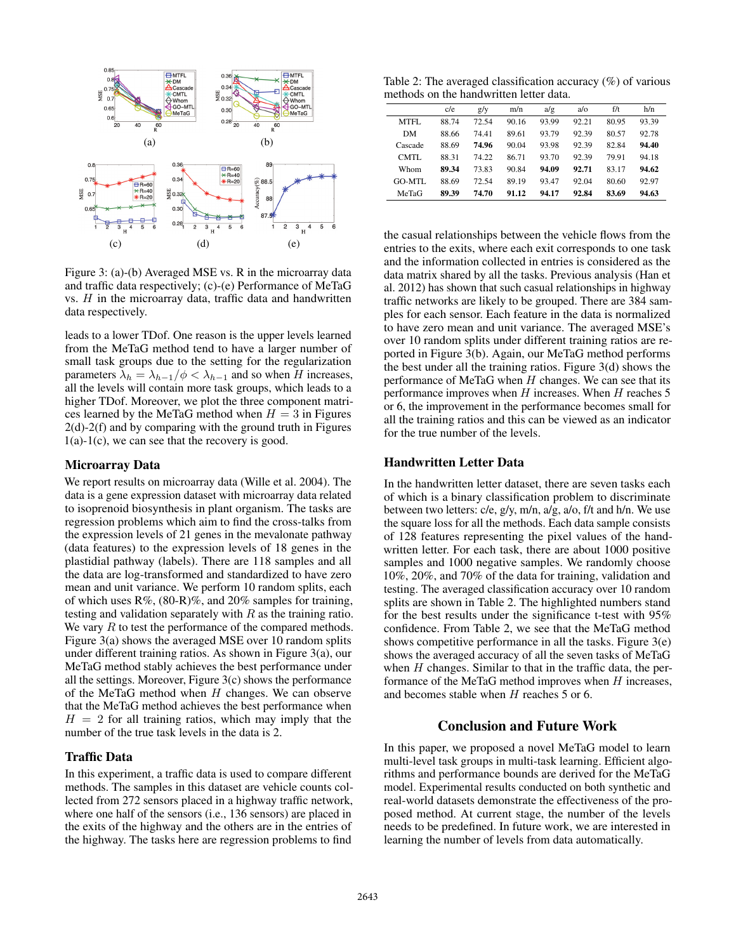

Figure 3: (a)-(b) Averaged MSE vs. R in the microarray data and traffic data respectively; (c)-(e) Performance of MeTaG vs.  $H$  in the microarray data, traffic data and handwritten data respectively.

leads to a lower TDof. One reason is the upper levels learned from the MeTaG method tend to have a larger number of small task groups due to the setting for the regularization parameters  $\lambda_h = \lambda_{h-1}/\phi < \lambda_{h-1}$  and so when H increases, all the levels will contain more task groups, which leads to a higher TDof. Moreover, we plot the three component matrices learned by the MeTaG method when  $H = 3$  in Figures 2(d)-2(f) and by comparing with the ground truth in Figures  $1(a)-1(c)$ , we can see that the recovery is good.

#### Microarray Data

We report results on microarray data (Wille et al. 2004). The data is a gene expression dataset with microarray data related to isoprenoid biosynthesis in plant organism. The tasks are regression problems which aim to find the cross-talks from the expression levels of 21 genes in the mevalonate pathway (data features) to the expression levels of 18 genes in the plastidial pathway (labels). There are 118 samples and all the data are log-transformed and standardized to have zero mean and unit variance. We perform 10 random splits, each of which uses R%, (80-R)%, and 20% samples for training, testing and validation separately with  $R$  as the training ratio. We vary  $R$  to test the performance of the compared methods. Figure 3(a) shows the averaged MSE over 10 random splits under different training ratios. As shown in Figure 3(a), our MeTaG method stably achieves the best performance under all the settings. Moreover, Figure 3(c) shows the performance of the MeTaG method when  $H$  changes. We can observe that the MeTaG method achieves the best performance when  $H = 2$  for all training ratios, which may imply that the number of the true task levels in the data is 2.

#### Traffic Data

In this experiment, a traffic data is used to compare different methods. The samples in this dataset are vehicle counts collected from 272 sensors placed in a highway traffic network, where one half of the sensors (i.e., 136 sensors) are placed in the exits of the highway and the others are in the entries of the highway. The tasks here are regression problems to find

Table 2: The averaged classification accuracy  $(\%)$  of various methods on the handwritten letter data.

|         | c/e   | g/y   | m/n   | a/g   | a/o   | f/t   | h/n   |
|---------|-------|-------|-------|-------|-------|-------|-------|
| MTFL    | 88.74 | 72.54 | 90.16 | 93.99 | 92.21 | 80.95 | 93.39 |
| DM      | 88.66 | 74.41 | 89.61 | 93.79 | 92.39 | 80.57 | 92.78 |
| Cascade | 88.69 | 74.96 | 90.04 | 93.98 | 92.39 | 82.84 | 94.40 |
| CMTL    | 88.31 | 74.22 | 86.71 | 93.70 | 92.39 | 79.91 | 94.18 |
| Whom    | 89.34 | 73.83 | 90.84 | 94.09 | 92.71 | 83.17 | 94.62 |
| GO-MTL  | 88.69 | 72.54 | 89.19 | 93.47 | 92.04 | 80.60 | 92.97 |
| MeTaG   | 89.39 | 74.70 | 91.12 | 94.17 | 92.84 | 83.69 | 94.63 |
|         |       |       |       |       |       |       |       |

the casual relationships between the vehicle flows from the entries to the exits, where each exit corresponds to one task and the information collected in entries is considered as the data matrix shared by all the tasks. Previous analysis (Han et al. 2012) has shown that such casual relationships in highway traffic networks are likely to be grouped. There are 384 samples for each sensor. Each feature in the data is normalized to have zero mean and unit variance. The averaged MSE's over 10 random splits under different training ratios are reported in Figure 3(b). Again, our MeTaG method performs the best under all the training ratios. Figure 3(d) shows the performance of MeTaG when  $H$  changes. We can see that its performance improves when  $H$  increases. When  $H$  reaches 5 or 6, the improvement in the performance becomes small for all the training ratios and this can be viewed as an indicator for the true number of the levels.

### Handwritten Letter Data

In the handwritten letter dataset, there are seven tasks each of which is a binary classification problem to discriminate between two letters: c/e, g/y, m/n, a/g, a/o, f/t and h/n. We use the square loss for all the methods. Each data sample consists of 128 features representing the pixel values of the handwritten letter. For each task, there are about 1000 positive samples and 1000 negative samples. We randomly choose 10%, 20%, and 70% of the data for training, validation and testing. The averaged classification accuracy over 10 random splits are shown in Table 2. The highlighted numbers stand for the best results under the significance t-test with 95% confidence. From Table 2, we see that the MeTaG method shows competitive performance in all the tasks. Figure 3(e) shows the averaged accuracy of all the seven tasks of MeTaG when  $H$  changes. Similar to that in the traffic data, the performance of the MeTaG method improves when  $H$  increases, and becomes stable when H reaches 5 or 6.

#### Conclusion and Future Work

In this paper, we proposed a novel MeTaG model to learn multi-level task groups in multi-task learning. Efficient algorithms and performance bounds are derived for the MeTaG model. Experimental results conducted on both synthetic and real-world datasets demonstrate the effectiveness of the proposed method. At current stage, the number of the levels needs to be predefined. In future work, we are interested in learning the number of levels from data automatically.